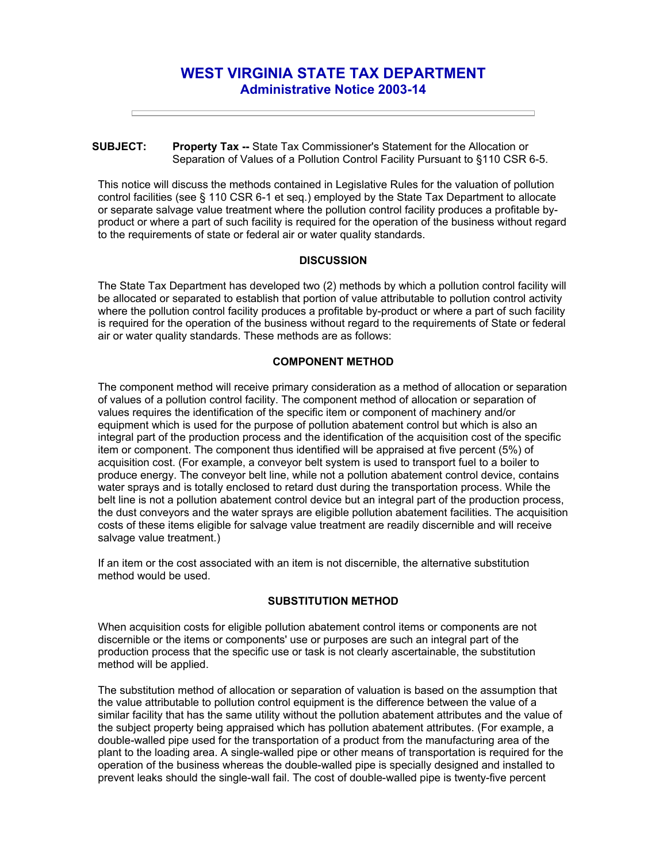# **WEST VIRGINIA STATE TAX DEPARTMENT Administrative Notice 2003-14**

#### **SUBJECT: Property Tax --** State Tax Commissioner's Statement for the Allocation or Separation of Values of a Pollution Control Facility Pursuant to §110 CSR 6-5.

This notice will discuss the methods contained in Legislative Rules for the valuation of pollution control facilities (see § 110 CSR 6-1 et seq.) employed by the State Tax Department to allocate or separate salvage value treatment where the pollution control facility produces a profitable byproduct or where a part of such facility is required for the operation of the business without regard to the requirements of state or federal air or water quality standards.

## **DISCUSSION**

The State Tax Department has developed two (2) methods by which a pollution control facility will be allocated or separated to establish that portion of value attributable to pollution control activity where the pollution control facility produces a profitable by-product or where a part of such facility is required for the operation of the business without regard to the requirements of State or federal air or water quality standards. These methods are as follows:

## **COMPONENT METHOD**

The component method will receive primary consideration as a method of allocation or separation of values of a pollution control facility. The component method of allocation or separation of values requires the identification of the specific item or component of machinery and/or equipment which is used for the purpose of pollution abatement control but which is also an integral part of the production process and the identification of the acquisition cost of the specific item or component. The component thus identified will be appraised at five percent (5%) of acquisition cost. (For example, a conveyor belt system is used to transport fuel to a boiler to produce energy. The conveyor belt line, while not a pollution abatement control device, contains water sprays and is totally enclosed to retard dust during the transportation process. While the belt line is not a pollution abatement control device but an integral part of the production process, the dust conveyors and the water sprays are eligible pollution abatement facilities. The acquisition costs of these items eligible for salvage value treatment are readily discernible and will receive salvage value treatment.)

If an item or the cost associated with an item is not discernible, the alternative substitution method would be used.

#### **SUBSTITUTION METHOD**

When acquisition costs for eligible pollution abatement control items or components are not discernible or the items or components' use or purposes are such an integral part of the production process that the specific use or task is not clearly ascertainable, the substitution method will be applied.

The substitution method of allocation or separation of valuation is based on the assumption that the value attributable to pollution control equipment is the difference between the value of a similar facility that has the same utility without the pollution abatement attributes and the value of the subject property being appraised which has pollution abatement attributes. (For example, a double-walled pipe used for the transportation of a product from the manufacturing area of the plant to the loading area. A single-walled pipe or other means of transportation is required for the operation of the business whereas the double-walled pipe is specially designed and installed to prevent leaks should the single-wall fail. The cost of double-walled pipe is twenty-five percent